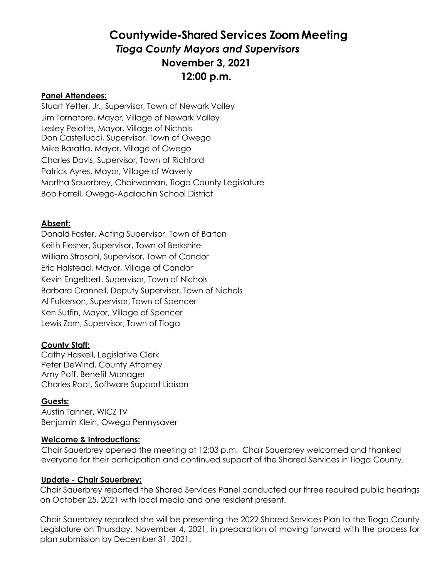# **Countywide-Shared Services Zoom Meeting** *Tioga County Mayors and Supervisors* **November 3, 2021 12:00 p.m.**

## **Panel Attendees:**

Stuart Yetter, Jr., Supervisor, Town of Newark Valley Jim Tornatore, Mayor, Village of Newark Valley Lesley Pelotte, Mayor, Village of Nichols Don Castellucci, Supervisor, Town of Owego Mike Baratta, Mayor, Village of Owego Charles Davis, Supervisor, Town of Richford Patrick Ayres, Mayor, Village of Waverly Martha Sauerbrey, Chairwoman, Tioga County Legislature Bob Farrell, Owego-Apalachin School District

## **Absent:**

Donald Foster, Acting Supervisor, Town of Barton Keith Flesher, Supervisor, Town of Berkshire William Strosahl, Supervisor, Town of Candor Eric Halstead, Mayor, Village of Candor Kevin Engelbert, Supervisor, Town of Nichols Barbara Crannell, Deputy Supervisor, Town of Nichols Al Fulkerson, Supervisor, Town of Spencer Ken Sutfin, Mayor, Village of Spencer Lewis Zorn, Supervisor, Town of Tioga

#### **County Staff:**

Cathy Haskell, Legislative Clerk Peter DeWind, County Attorney Amy Poff, Benefit Manager Charles Root, Software Support Liaison

## **Guests:**

Austin Tanner, WICZ TV Benjamin Klein, Owego Pennysaver

#### **Welcome & Introductions:**

Chair Sauerbrey opened the meeting at 12:03 p.m. Chair Sauerbrey welcomed and thanked everyone for their participation and continued support of the Shared Services in Tioga County.

#### **Update - Chair Sauerbrey:**

Chair Sauerbrey reported the Shared Services Panel conducted our three required public hearings on October 25, 2021 with local media and one resident present.

Chair Sauerbrey reported she will be presenting the 2022 Shared Services Plan to the Tioga County Legislature on Thursday, November 4, 2021, in preparation of moving forward with the process for plan submission by December 31, 2021.